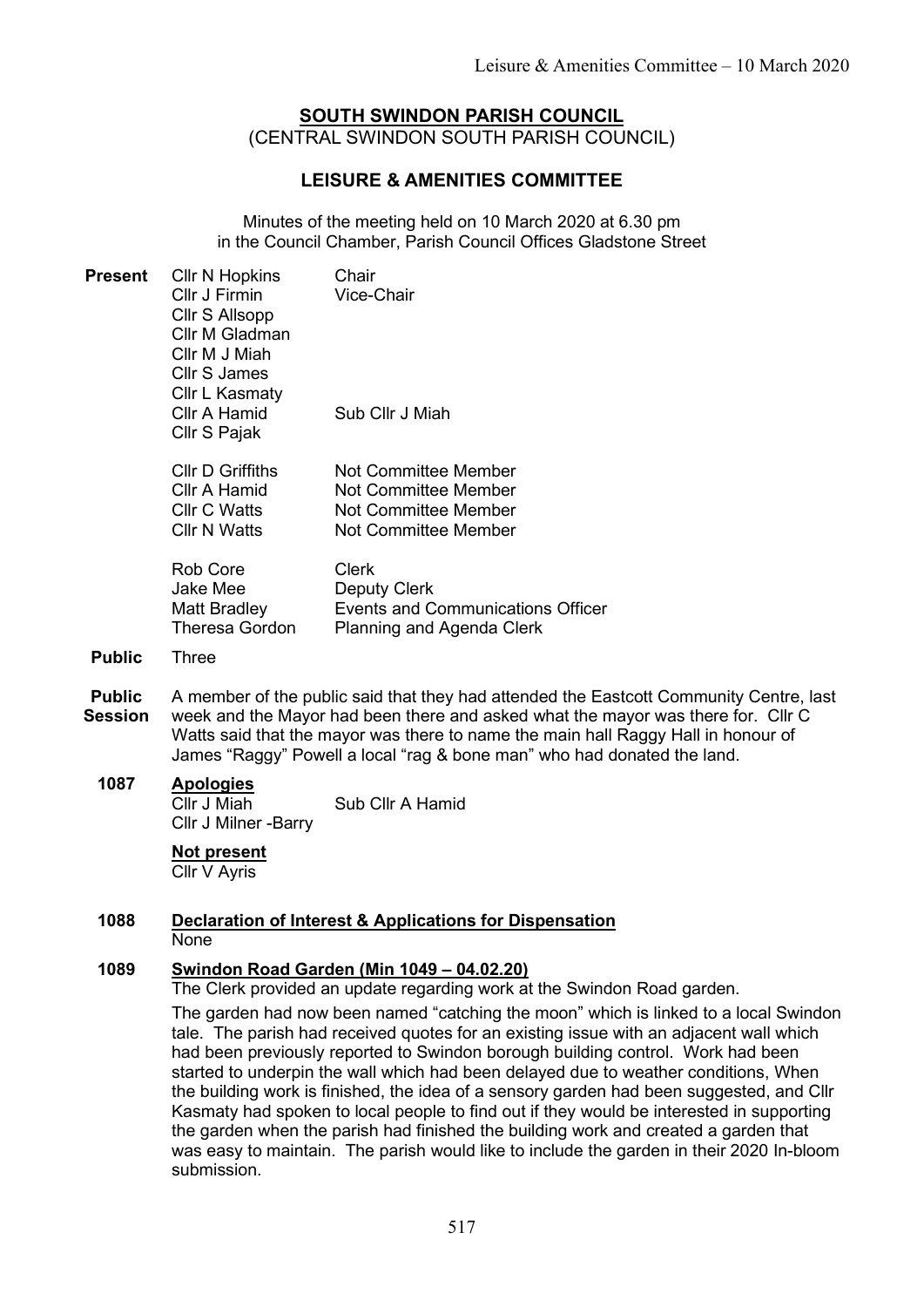# SOUTH SWINDON PARISH COUNCIL (CENTRAL SWINDON SOUTH PARISH COUNCIL)

# LEISURE & AMENITIES COMMITTEE

Minutes of the meeting held on 10 March 2020 at 6.30 pm in the Council Chamber, Parish Council Offices Gladstone Street

| <b>Present</b>                  | <b>Cllr N Hopkins</b><br>Cllr J Firmin<br>Cllr S Allsopp<br>Cllr M Gladman<br>Cllr M J Miah<br><b>Cllr S James</b>                                                                                                                                                                                                                         | Chair<br>Vice-Chair                                                                                                      |  |
|---------------------------------|--------------------------------------------------------------------------------------------------------------------------------------------------------------------------------------------------------------------------------------------------------------------------------------------------------------------------------------------|--------------------------------------------------------------------------------------------------------------------------|--|
|                                 | Cllr L Kasmaty<br>Cllr A Hamid<br>Cllr S Pajak                                                                                                                                                                                                                                                                                             | Sub Cllr J Miah                                                                                                          |  |
|                                 | <b>CIIr D Griffiths</b><br>Cllr A Hamid<br><b>Cllr C Watts</b><br><b>Cllr N Watts</b>                                                                                                                                                                                                                                                      | <b>Not Committee Member</b><br><b>Not Committee Member</b><br><b>Not Committee Member</b><br><b>Not Committee Member</b> |  |
|                                 | <b>Rob Core</b><br><b>Jake Mee</b><br>Matt Bradley<br>Theresa Gordon                                                                                                                                                                                                                                                                       | <b>Clerk</b><br><b>Deputy Clerk</b><br>Events and Communications Officer<br>Planning and Agenda Clerk                    |  |
| <b>Public</b>                   | <b>Three</b>                                                                                                                                                                                                                                                                                                                               |                                                                                                                          |  |
| <b>Public</b><br><b>Session</b> | A member of the public said that they had attended the Eastcott Community Centre, last<br>week and the Mayor had been there and asked what the mayor was there for. Cllr C<br>Watts said that the mayor was there to name the main hall Raggy Hall in honour of<br>James "Raggy" Powell a local "rag & bone man" who had donated the land. |                                                                                                                          |  |
| 1087                            | <b>Apologies</b><br>Cllr J Miah<br><b>Cllr J Milner -Barry</b>                                                                                                                                                                                                                                                                             | Sub Cllr A Hamid                                                                                                         |  |
|                                 | <b>Not present</b><br>Cllr V Ayris                                                                                                                                                                                                                                                                                                         |                                                                                                                          |  |
| 1088                            | <b>Declaration of Interest &amp; Applications for Dispensation</b><br>None                                                                                                                                                                                                                                                                 |                                                                                                                          |  |
| 1089                            | <b>Swindon Road Garden (Min 1049 - 04.02.20)</b><br>The Clerk provided an update regarding work at the Swindon Road garden.<br>The garden had now been named "catching the moon" which is linked to a local Swindon<br>tole. The period had resolved quotes for an evisting issue with an ediscont wall which                              |                                                                                                                          |  |

ked to a local Swindon tale. The parish had received quotes for an existing issue with an adjacent wall which had been previously reported to Swindon borough building control. Work had been started to underpin the wall which had been delayed due to weather conditions, When the building work is finished, the idea of a sensory garden had been suggested, and Cllr Kasmaty had spoken to local people to find out if they would be interested in supporting the garden when the parish had finished the building work and created a garden that was easy to maintain. The parish would like to include the garden in their 2020 In-bloom submission.